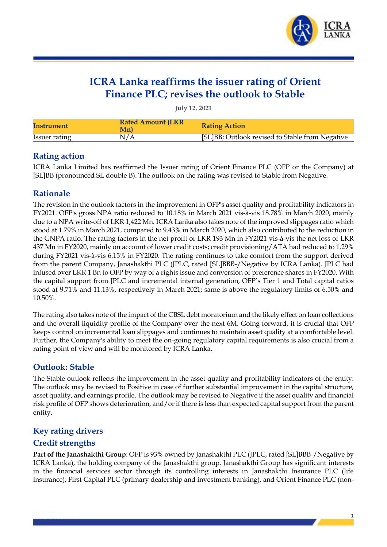

## **ICRA Lanka reaffirms the issuer rating of Orient Finance PLC; revises the outlook to Stable**

**July 12, 2021**

| Instrument    | <b>Rated Amount (LKR)</b><br>Mn) | <b>Rating Action</b>                            |
|---------------|----------------------------------|-------------------------------------------------|
| Issuer rating |                                  | [SL]BB; Outlook revised to Stable from Negative |

#### **Rating action**

ICRA Lanka Limited has reaffirmed the Issuer rating of Orient Finance PLC (OFP or the Company) at [SL]BB (pronounced SL double B). The outlook on the rating was revised to Stable from Negative.

#### **Rationale**

The revision in the outlook factors in the improvement in OFP's asset quality and profitability indicators in FY2021. OFP's gross NPA ratio reduced to 10.18% in March 2021 vis-à-vis 18.78% in March 2020, mainly due to a NPA write-off of LKR 1,422 Mn. ICRA Lanka also takes note of the improved slippages ratio which stood at 1.79% in March 2021, compared to 9.43% in March 2020, which also contributed to the reduction in the GNPA ratio. The rating factors in the net profit of LKR 193 Mn in FY2021 vis-à-vis the net loss of LKR 437 Mn in FY2020, mainly on account of lower credit costs; credit provisioning/ATA had reduced to 1.29% during FY2021 vis-à-vis 6.15% in FY2020. The rating continues to take comfort from the support derived from the parent Company, Janashakthi PLC (JPLC, rated [SL]BBB-/Negative by ICRA Lanka). JPLC had infused over LKR 1 Bn to OFP by way of a rights issue and conversion of preference shares in FY2020. With the capital support from JPLC and incremental internal generation, OFP's Tier 1 and Total capital ratios stood at 9.71% and 11.13%, respectively in March 2021; same is above the regulatory limits of 6.50% and 10.50%.

The rating also takes note of the impact of the CBSL debt moratorium and the likely effect on loan collections and the overall liquidity profile of the Company over the next 6M. Going forward, it is crucial that OFP keeps control on incremental loan slippages and continues to maintain asset quality at a comfortable level. Further, the Company's ability to meet the on-going regulatory capital requirements is also crucial from a rating point of view and will be monitored by ICRA Lanka.

### **Outlook: Stable**

The Stable outlook reflects the improvement in the asset quality and profitability indicators of the entity. The outlook may be revised to Positive in case of further substantial improvement in the capital structure, asset quality, and earnings profile. The outlook may be revised to Negative if the asset quality and financial risk profile of OFP shows deterioration, and/or if there is less than expected capital support from the parent entity.

### **Key rating drivers**

### **Credit strengths**

**Part of the Janashakthi Group**: OFP is 93% owned by Janashakthi PLC (JPLC, rated [SL]BBB-/Negative by ICRA Lanka), the holding company of the Janashakthi group. Janashakthi Group has significant interests in the financial services sector through its controlling interests in Janashakthi Insurance PLC (life insurance), First Capital PLC (primary dealership and investment banking), and Orient Finance PLC (non-

1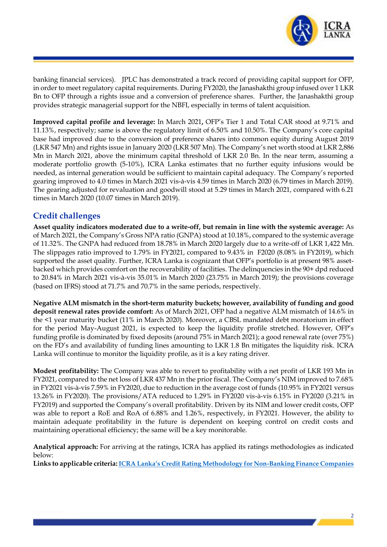

banking financial services). JPLC has demonstrated a track record of providing capital support for OFP, in order to meet regulatory capital requirements. During FY2020, the Janashakthi group infused over 1 LKR Bn to OFP through a rights issue and a conversion of preference shares. Further, the Janashakthi group provides strategic managerial support for the NBFI, especially in terms of talent acquisition.

**Improved capital profile and leverage:** In March 2021**,** OFP's Tier 1 and Total CAR stood at 9.71% and 11.13%, respectively; same is above the regulatory limit of 6.50% and 10.50%. The Company's core capital base had improved due to the conversion of preference shares into common equity during August 2019 (LKR 547 Mn) and rights issue in January 2020 (LKR 507 Mn). The Company's net worth stood at LKR 2,886 Mn in March 2021, above the minimum capital threshold of LKR 2.0 Bn. In the near term, assuming a moderate portfolio growth (5-10%), ICRA Lanka estimates that no further equity infusions would be needed, as internal generation would be sufficient to maintain capital adequacy. The Company's reported gearing improved to 4.0 times in March 2021 vis-à-vis 4.59 times in March 2020 (6.79 times in March 2019). The gearing adjusted for revaluation and goodwill stood at 5.29 times in March 2021, compared with 6.21 times in March 2020 (10.07 times in March 2019).

#### **Credit challenges**

**Asset quality indicators moderated due to a write-off, but remain in line with the systemic average:** As of March 2021, the Company's Gross NPA ratio (GNPA) stood at 10.18%, compared to the systemic average of 11.32%. The GNPA had reduced from 18.78% in March 2020 largely due to a write-off of LKR 1,422 Mn. The slippages ratio improved to 1.79% in FY2021, compared to 9.43% in F2020 (8.08% in FY2019), which supported the asset quality. Further, ICRA Lanka is cognizant that OFP's portfolio is at present 98% assetbacked which provides comfort on the recoverability of facilities. The delinquencies in the 90+ dpd reduced to 20.84% in March 2021 vis-à-vis 35.01% in March 2020 (23.75% in March 2019); the provisions coverage (based on IFRS) stood at 71.7% and 70.7% in the same periods, respectively.

**Negative ALM mismatch in the short-term maturity buckets; however, availability of funding and good deposit renewal rates provide comfort:** As of March 2021, OFP had a negative ALM mismatch of 14.6% in the <1 year maturity bucket (11% in March 2020). Moreover, a CBSL mandated debt moratorium in effect for the period May-August 2021, is expected to keep the liquidity profile stretched. However, OFP's funding profile is dominated by fixed deposits (around 75% in March 2021); a good renewal rate (over 75%) on the FD's and availability of funding lines amounting to LKR 1.8 Bn mitigates the liquidity risk. ICRA Lanka will continue to monitor the liquidity profile, as it is a key rating driver.

**Modest profitability:** The Company was able to revert to profitability with a net profit of LKR 193 Mn in FY2021, compared to the net loss of LKR 437 Mn in the prior fiscal. The Company's NIM improved to 7.68% in FY2021 vis-à-vis 7.59% in FY2020, due to reduction in the average cost of funds (10.95% in FY2021 versus 13.26% in FY2020). The provisions/ATA reduced to 1.29% in FY2020 vis-à-vis 6.15% in FY2020 (3.21% in FY2019) and supported the Company's overall profitability. Driven by its NIM and lower credit costs, OFP was able to report a RoE and RoA of 6.88% and 1.26%, respectively, in FY2021. However, the ability to maintain adequate profitability in the future is dependent on keeping control on credit costs and maintaining operational efficiency; the same will be a key monitorable.

**Analytical approach:** For arriving at the ratings, ICRA has applied its ratings methodologies as indicated below:

**Links to applicable criteria: [ICRA Lanka's Credit Rating Methodology for Non](https://www.icralanka.com/nbfc-rating-methodology/)-Banking Finance Companies**

2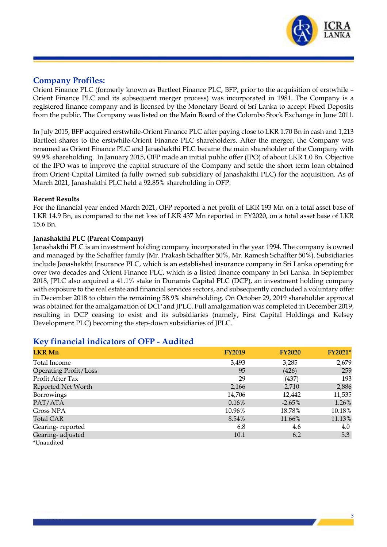

#### **Company Profiles:**

Orient Finance PLC (formerly known as Bartleet Finance PLC, BFP, prior to the acquisition of erstwhile – Orient Finance PLC and its subsequent merger process) was incorporated in 1981. The Company is a registered finance company and is licensed by the Monetary Board of Sri Lanka to accept Fixed Deposits from the public. The Company was listed on the Main Board of the Colombo Stock Exchange in June 2011.

In July 2015, BFP acquired erstwhile-Orient Finance PLC after paying close to LKR 1.70 Bn in cash and 1,213 Bartleet shares to the erstwhile-Orient Finance PLC shareholders. After the merger, the Company was renamed as Orient Finance PLC and Janashakthi PLC became the main shareholder of the Company with 99.9% shareholding. In January 2015, OFP made an initial public offer (IPO) of about LKR 1.0 Bn. Objective of the IPO was to improve the capital structure of the Company and settle the short term loan obtained from Orient Capital Limited (a fully owned sub-subsidiary of Janashakthi PLC) for the acquisition. As of March 2021, Janashakthi PLC held a 92.85% shareholding in OFP.

#### **Recent Results**

For the financial year ended March 2021, OFP reported a net profit of LKR 193 Mn on a total asset base of LKR 14.9 Bn, as compared to the net loss of LKR 437 Mn reported in FY2020, on a total asset base of LKR 15.6 Bn.

#### **Janashakthi PLC (Parent Company)**

Janashakthi PLC is an investment holding company incorporated in the year 1994. The company is owned and managed by the Schaffter family (Mr. Prakash Schaffter 50%, Mr. Ramesh Schaffter 50%). Subsidiaries include Janashakthi Insurance PLC, which is an established insurance company in Sri Lanka operating for over two decades and Orient Finance PLC, which is a listed finance company in Sri Lanka. In September 2018, JPLC also acquired a 41.1% stake in Dunamis Capital PLC (DCP), an investment holding company with exposure to the real estate and financial services sectors, and subsequently concluded a voluntary offer in December 2018 to obtain the remaining 58.9% shareholding. On October 29, 2019 shareholder approval was obtained for the amalgamation of DCP and JPLC. Full amalgamation was completed in December 2019, resulting in DCP ceasing to exist and its subsidiaries (namely, First Capital Holdings and Kelsey Development PLC) becoming the step-down subsidiaries of JPLC.

#### **Key financial indicators of OFP - Audited**

| <b>LKR Mn</b>                | <b>FY2019</b> | <b>FY2020</b> | FY2021* |
|------------------------------|---------------|---------------|---------|
| Total Income                 | 3,493         | 3,285         | 2,679   |
| <b>Operating Profit/Loss</b> | 95            | (426)         | 259     |
| Profit After Tax             | 29            | (437)         | 193     |
| Reported Net Worth           | 2,166         | 2,710         | 2,886   |
| Borrowings                   | 14,706        | 12,442        | 11,535  |
| PAT/ATA                      | 0.16%         | $-2.65%$      | 1.26%   |
| Gross NPA                    | 10.96%        | 18.78%        | 10.18%  |
| <b>Total CAR</b>             | 8.54%         | 11.66%        | 11.13%  |
| Gearing-reported             | 6.8           | 4.6           | 4.0     |
| Gearing-adjusted             | 10.1          | 6.2           | 5.3     |
| *Unaudited                   |               |               |         |

3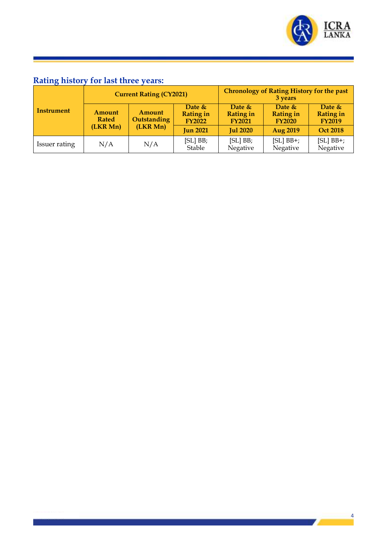

4

the contract of the contract of

## **Rating history for last three years:**

| Instrument    | <b>Current Rating (CY2021)</b>     |                                   |                                               | <b>Chronology of Rating History for the past</b><br>3 years |                                               |                                                |
|---------------|------------------------------------|-----------------------------------|-----------------------------------------------|-------------------------------------------------------------|-----------------------------------------------|------------------------------------------------|
|               | Amount<br><b>Rated</b><br>(LKR Mn) | Amount<br>Outstanding<br>(LKR Mn) | Date $&$<br><b>Rating in</b><br><b>FY2022</b> | Date $&$<br><b>Rating in</b><br><b>FY2021</b>               | Date $&$<br><b>Rating in</b><br><b>FY2020</b> | Date $\&$<br><b>Rating in</b><br><b>FY2019</b> |
|               |                                    |                                   | <b>Jun 2021</b>                               | <b>Jul 2020</b>                                             | <b>Aug 2019</b>                               | <b>Oct 2018</b>                                |
| Issuer rating | N/A                                | N/A                               | $[SL]$ $BB;$<br>Stable                        | $[SL]$ BB;<br>Negative                                      | $[SL]$ BB+;<br>Negative                       | $[SL]$ BB+;<br>Negative                        |